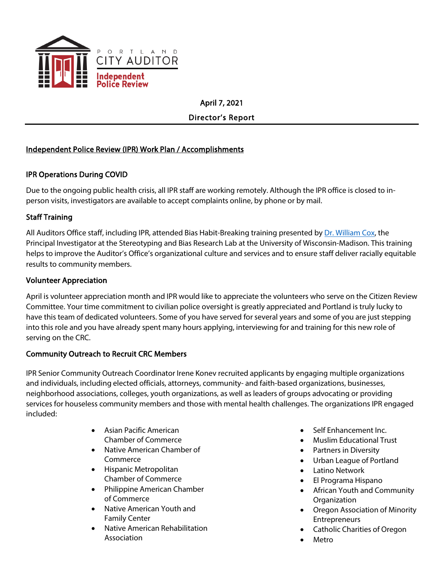

April 7, 2021

Director's Report

## Independent Police Review (IPR) Work Plan / Accomplishments

## IPR Operations During COVID

Due to the ongoing public health crisis, all IPR staff are working remotely. Although the IPR office is closed to inperson visits, investigators are available to accept complaints online, by phone or by mail.

## Staff Training

All Auditors Office staff, including IPR, attended Bias Habit-Breaking training presented by [Dr. William Cox,](https://coxlab.psych.wisc.edu/staff/cox-william/#:%7E:text=Over%20the%20past%2012%20years,the%20bias%20habit%2Dbreaking%20intervention.&text=The%20bias%20habit%2Dbreaking%20intervention%20was%20the%20first%20and%20remains,long%2Dterm%20changes%20in%20bias.) the Principal Investigator at the Stereotyping and Bias Research Lab at the University of Wisconsin-Madison. This training helps to improve the Auditor's Office's organizational culture and services and to ensure staff deliver racially equitable results to community members.

## Volunteer Appreciation

April is volunteer appreciation month and IPR would like to appreciate the volunteers who serve on the Citizen Review Committee. Your time commitment to civilian police oversight is greatly appreciated and Portland is truly lucky to have this team of dedicated volunteers. Some of you have served for several years and some of you are just stepping into this role and you have already spent many hours applying, interviewing for and training for this new role of serving on the CRC.

## Community Outreach to Recruit CRC Members

IPR Senior Community Outreach Coordinator Irene Konev recruited applicants by engaging multiple organizations and individuals, including elected officials, attorneys, community- and faith-based organizations, businesses, neighborhood associations, colleges, youth organizations, as well as leaders of groups advocating or providing services for houseless community members and those with mental health challenges. The organizations IPR engaged included:

- Asian Pacific American Chamber of Commerce
- Native American Chamber of Commerce
- Hispanic Metropolitan Chamber of Commerce
- Philippine American Chamber of Commerce
- Native American Youth and Family Center
- Native American Rehabilitation Association
- Self Enhancement Inc.
- Muslim Educational Trust
- Partners in Diversity
- Urban League of Portland
- Latino Network
- El Programa Hispano
- African Youth and Community **Organization**
- Oregon Association of Minority Entrepreneurs
- Catholic Charities of Oregon
- **Metro**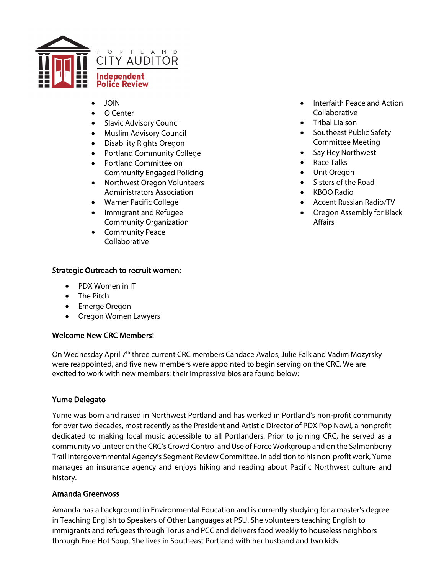

- JOIN
- Q Center
- Slavic Advisory Council
- Muslim Advisory Council
- Disability Rights Oregon
- Portland Community College
- Portland Committee on Community Engaged Policing
- Northwest Oregon Volunteers Administrators Association
- Warner Pacific College
- Immigrant and Refugee Community Organization
- Community Peace Collaborative

#### Strategic Outreach to recruit women:

- PDX Women in IT
- The Pitch
- Emerge Oregon
- Oregon Women Lawyers

#### Welcome New CRC Members!

On Wednesday April 7<sup>th</sup> three current CRC members Candace Avalos, Julie Falk and Vadim Mozyrsky were reappointed, and five new members were appointed to begin serving on the CRC. We are excited to work with new members; their impressive bios are found below:

#### Yume Delegato

Yume was born and raised in Northwest Portland and has worked in Portland's non-profit community for over two decades, most recently as the President and Artistic Director of PDX Pop Now!, a nonprofit dedicated to making local music accessible to all Portlanders. Prior to joining CRC, he served as a community volunteer on the CRC's Crowd Control and Use of Force Workgroup and on the Salmonberry Trail Intergovernmental Agency's Segment Review Committee. In addition to his non-profit work, Yume manages an insurance agency and enjoys hiking and reading about Pacific Northwest culture and history.

#### Amanda Greenvoss

Amanda has a background in Environmental Education and is currently studying for a master's degree in Teaching English to Speakers of Other Languages at PSU. She volunteers teaching English to immigrants and refugees through Torus and PCC and delivers food weekly to houseless neighbors through Free Hot Soup. She lives in Southeast Portland with her husband and two kids.

- Interfaith Peace and Action Collaborative
- Tribal Liaison
- Southeast Public Safety Committee Meeting
- Say Hey Northwest
- Race Talks
- Unit Oregon
- Sisters of the Road
- KBOO Radio
- Accent Russian Radio/TV
- Oregon Assembly for Black Affairs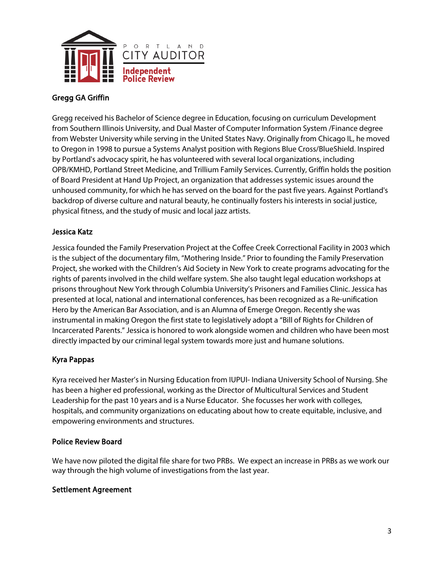

## Gregg GA Griffin

Gregg received his Bachelor of Science degree in Education, focusing on curriculum Development from Southern Illinois University, and Dual Master of Computer Information System /Finance degree from Webster University while serving in the United States Navy. Originally from Chicago IL, he moved to Oregon in 1998 to pursue a Systems Analyst position with Regions Blue Cross/BlueShield. Inspired by Portland's advocacy spirit, he has volunteered with several local organizations, including OPB/KMHD, Portland Street Medicine, and Trillium Family Services. Currently, Griffin holds the position of Board President at Hand Up Project, an organization that addresses systemic issues around the unhoused community, for which he has served on the board for the past five years. Against Portland's backdrop of diverse culture and natural beauty, he continually fosters his interests in social justice, physical fitness, and the study of music and local jazz artists.

#### Jessica Katz

Jessica founded the Family Preservation Project at the Coffee Creek Correctional Facility in 2003 which is the subject of the documentary film, "Mothering Inside." Prior to founding the Family Preservation Project, she worked with the Children's Aid Society in New York to create programs advocating for the rights of parents involved in the child welfare system. She also taught legal education workshops at prisons throughout New York through Columbia University's Prisoners and Families Clinic. Jessica has presented at local, national and international conferences, has been recognized as a Re-unification Hero by the American Bar Association, and is an Alumna of Emerge Oregon. Recently she was instrumental in making Oregon the first state to legislatively adopt a "Bill of Rights for Children of Incarcerated Parents." Jessica is honored to work alongside women and children who have been most directly impacted by our criminal legal system towards more just and humane solutions.

## Kyra Pappas

Kyra received her Master's in Nursing Education from IUPUI- Indiana University School of Nursing. She has been a higher ed professional, working as the Director of Multicultural Services and Student Leadership for the past 10 years and is a Nurse Educator. She focusses her work with colleges, hospitals, and community organizations on educating about how to create equitable, inclusive, and empowering environments and structures.

## Police Review Board

We have now piloted the digital file share for two PRBs. We expect an increase in PRBs as we work our way through the high volume of investigations from the last year.

## Settlement Agreement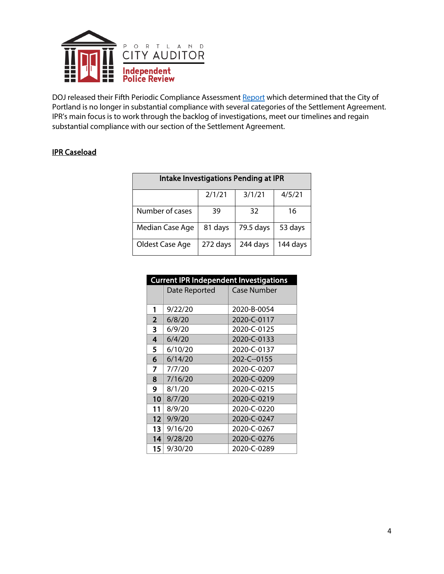

DOJ released their Fifth Periodic Compliance Assessmen[t Report](https://beta.documentcloud.org/documents/20476946-dojcompliancereport21121) which determined that the City of Portland is no longer in substantial compliance with several categories of the Settlement Agreement. IPR's main focus is to work through the backlog of investigations, meet our timelines and regain substantial compliance with our section of the Settlement Agreement.

#### IPR Caseload

| Intake Investigations Pending at IPR |          |           |          |
|--------------------------------------|----------|-----------|----------|
|                                      | 2/1/21   | 3/1/21    | 4/5/21   |
| Number of cases                      | 39       | 32        | 16       |
| Median Case Age                      | 81 days  | 79.5 days | 53 days  |
| Oldest Case Age                      | 272 days | 244 days  | 144 days |

| <b>Current IPR Independent Investigations</b> |               |             |  |  |
|-----------------------------------------------|---------------|-------------|--|--|
|                                               | Date Reported | Case Number |  |  |
|                                               |               |             |  |  |
| 1                                             | 9/22/20       | 2020-B-0054 |  |  |
| $\overline{2}$                                | 6/8/20        | 2020-C-0117 |  |  |
| 3                                             | 6/9/20        | 2020-C-0125 |  |  |
| 4                                             | 6/4/20        | 2020-C-0133 |  |  |
| 5                                             | 6/10/20       | 2020-C-0137 |  |  |
| 6                                             | 6/14/20       | 202-C--0155 |  |  |
| 7                                             | 7/7/20        | 2020-C-0207 |  |  |
| 8                                             | 7/16/20       | 2020-C-0209 |  |  |
| 9                                             | 8/1/20        | 2020-C-0215 |  |  |
| 10                                            | 8/7/20        | 2020-C-0219 |  |  |
| 11                                            | 8/9/20        | 2020-C-0220 |  |  |
| 12 <sub>1</sub>                               | 9/9/20        | 2020-C-0247 |  |  |
| 13                                            | 9/16/20       | 2020-C-0267 |  |  |
| 4                                             | 9/28/20       | 2020-C-0276 |  |  |
| 15                                            | 9/30/20       | 2020-C-0289 |  |  |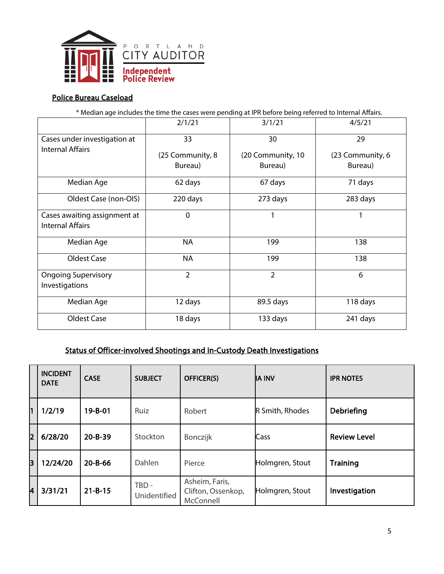

#### Police Bureau Caseload

\* Median age includes the time the cases were pending at IPR before being referred to Internal Affairs.

|                                                         | 2/1/21           | 3/1/21            | 4/5/21           |
|---------------------------------------------------------|------------------|-------------------|------------------|
| Cases under investigation at<br><b>Internal Affairs</b> | 33               | 30                | 29               |
|                                                         | (25 Community, 8 | (20 Community, 10 | (23 Community, 6 |
|                                                         | Bureau)          | Bureau)           | Bureau)          |
| Median Age                                              | 62 days          | 67 days           | 71 days          |
| Oldest Case (non-OIS)                                   | 220 days         | 273 days          | 283 days         |
| Cases awaiting assignment at<br><b>Internal Affairs</b> | $\Omega$         | 1                 | 1                |
| Median Age                                              | <b>NA</b>        | 199               | 138              |
| Oldest Case                                             | <b>NA</b>        | 199               | 138              |
| <b>Ongoing Supervisory</b><br>Investigations            | $\overline{2}$   | $\overline{2}$    | 6                |
| Median Age                                              | 12 days          | 89.5 days         | 118 days         |
| Oldest Case                                             | 18 days          | 133 days          | 241 days         |

## Status of Officer-involved Shootings and In-Custody Death Investigations

|            | <b>INCIDENT</b><br><b>DATE</b> | <b>CASE</b>   | <b>SUBJECT</b>        | <b>OFFICER(S)</b>                                 | <b>IA INV</b>   | <b>IPR NOTES</b>    |
|------------|--------------------------------|---------------|-----------------------|---------------------------------------------------|-----------------|---------------------|
| 1          | 1/2/19                         | $19 - B - 01$ | Ruiz                  | Robert                                            | R Smith, Rhodes | Debriefing          |
| 12         | 6/28/20                        | $20 - B - 39$ | Stockton              | Bonczijk                                          | Cass            | <b>Review Level</b> |
| lз         | 12/24/20                       | $20 - B - 66$ | Dahlen                | Pierce                                            | Holmgren, Stout | <b>Training</b>     |
| <b>l</b> 4 | 3/31/21                        | $21 - B - 15$ | TBD -<br>Unidentified | Asheim, Faris,<br>Clifton, Ossenkop,<br>McConnell | Holmgren, Stout | Investigation       |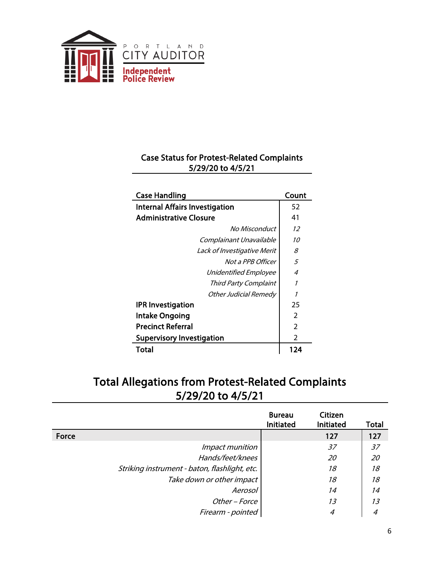

# Case Status for Protest-Related Complaints 5/29/20 to 4/5/21

| <b>Case Handling</b>                  | Count          |
|---------------------------------------|----------------|
| <b>Internal Affairs Investigation</b> | 52             |
| <b>Administrative Closure</b>         | 41             |
| No Misconduct                         | 12             |
| Complainant Unavailable               | 10             |
| Lack of Investigative Merit           | 8              |
| Not a PPB Officer                     | 5              |
| <b>Unidentified Employee</b>          | 4              |
| Third Party Complaint                 | 1              |
| Other Judicial Remedy                 | 1              |
| <b>IPR Investigation</b>              | 25             |
| <b>Intake Ongoing</b>                 | $\overline{2}$ |
| <b>Precinct Referral</b>              | $\overline{2}$ |
| <b>Supervisory Investigation</b>      | $\overline{2}$ |
| Total                                 | 124            |

# Total Allegations from Protest-Related Complaints 5/29/20 to 4/5/21

|                                               | <b>Bureau</b><br><b>Initiated</b> | Citizen<br><b>Initiated</b> | Total |
|-----------------------------------------------|-----------------------------------|-----------------------------|-------|
| Force                                         |                                   | 127                         | 127   |
| <i>Impact munition</i>                        |                                   | 37                          | 37    |
| Hands/feet/knees                              |                                   | 20                          | 20    |
| Striking instrument - baton, flashlight, etc. |                                   | 18                          | 18    |
| Take down or other impact                     |                                   | 18                          | 18    |
| Aerosol                                       |                                   | 14                          | 14    |
| Other - Force                                 |                                   | 13                          | 13    |
| Firearm - pointed                             |                                   | 4                           |       |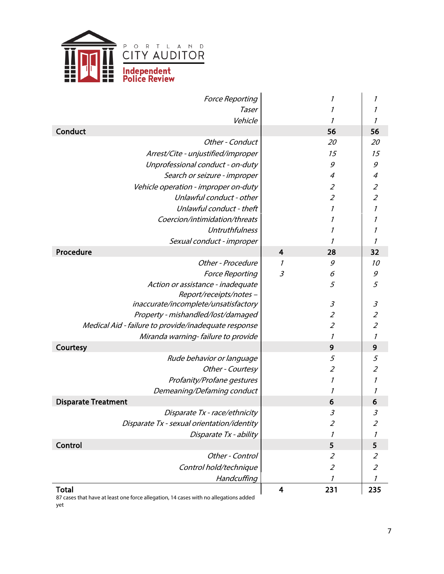

| <b>Force Reporting</b>                               |                         | 1                           | 1                           |
|------------------------------------------------------|-------------------------|-----------------------------|-----------------------------|
| Taser                                                |                         | 1                           | 1                           |
| Vehicle                                              |                         | 1                           | 1                           |
| Conduct                                              |                         | 56                          | 56                          |
| Other - Conduct                                      |                         | 20                          | 20                          |
| Arrest/Cite - unjustified/improper                   |                         | 15                          | 15                          |
| Unprofessional conduct - on-duty                     |                         | 9                           | 9                           |
| Search or seizure - improper                         |                         | 4                           | $\overline{\mathcal{A}}$    |
| Vehicle operation - improper on-duty                 |                         | $\mathcal{Z}_{\mathcal{C}}$ | $\mathcal{Z}_{\mathcal{C}}$ |
| Unlawful conduct - other                             |                         | $\overline{2}$              | $\overline{2}$              |
| Unlawful conduct - theft                             |                         | $\boldsymbol{\eta}$         | $\mathcal I$                |
| Coercion/intimidation/threats                        |                         | 1                           |                             |
| <b>Untruthfulness</b>                                |                         | 1                           | 1                           |
| Sexual conduct - improper                            |                         | 1                           | $\mathcal I$                |
| Procedure                                            | $\overline{\mathbf{4}}$ | 28                          | 32                          |
| Other - Procedure                                    | 1                       | 9                           | 10                          |
| <b>Force Reporting</b>                               | $\mathfrak{Z}$          | 6                           | 9                           |
| Action or assistance - inadequate                    |                         | 5                           | 5                           |
| Report/receipts/notes-                               |                         |                             |                             |
| inaccurate/incomplete/unsatisfactory                 |                         | $\mathfrak{Z}$              | $\mathcal{S}_{\mathcal{S}}$ |
| Property - mishandled/lost/damaged                   |                         | $\overline{2}$              | $\overline{2}$              |
| Medical Aid - failure to provide/inadequate response |                         | $\mathcal{Z}_{\mathcal{C}}$ | $\overline{2}$              |
| Miranda warning-failure to provide                   |                         | 1                           | $\mathcal{I}$               |
| Courtesy                                             |                         | 9                           | 9                           |
| Rude behavior or language                            |                         | 5                           | 5                           |
| Other - Courtesy                                     |                         | $\overline{2}$              | $\overline{2}$              |
| Profanity/Profane gestures                           |                         | $\boldsymbol{\it 1}$        | $\boldsymbol{\eta}$         |
| Demeaning/Defaming conduct                           |                         | 1                           | 1                           |
| <b>Disparate Treatment</b>                           |                         | 6                           | 6                           |
| Disparate Tx - race/ethnicity                        |                         | 3                           | $\mathfrak{Z}$              |
| Disparate Tx - sexual orientation/identity           |                         | $\mathcal{Z}_{\mathcal{C}}$ | $\mathcal{Z}_{\mathcal{C}}$ |
| Disparate Tx - ability                               |                         | 1                           | 1                           |
| Control                                              |                         | 5                           | 5                           |
| Other - Control                                      |                         | $\mathcal{Z}_{\mathcal{C}}$ | $\overline{2}$              |
| Control hold/technique                               |                         | $\mathcal{Z}_{\mathcal{C}}$ | $\mathcal{Z}_{\mathcal{C}}$ |
| Handcuffing                                          |                         | 1                           | $\mathcal{I}$               |
| <b>Total</b>                                         | 4                       | 231                         | 235                         |

87 cases that have at least one force allegation, 14 cases with no allegations added yet